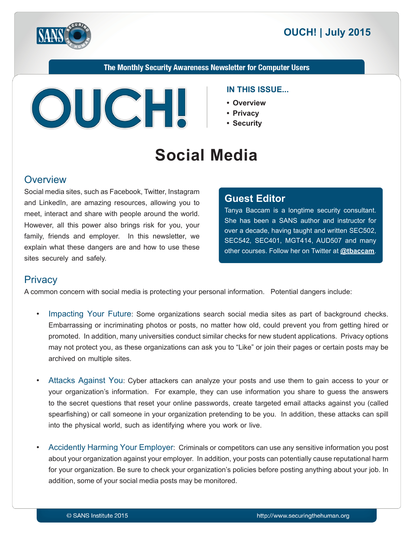



The Monthly Security Awareness Newsletter for Computer Users



#### **IN THIS ISSUE...**

- **Overview•**
- **Privacy•**
- **Security•**

# **Social Media**

#### **Overview**

Social media sites, such as Facebook, Twitter, Instagram and LinkedIn, are amazing resources, allowing you to meet, interact and share with people around the world. However, all this power also brings risk for you, your family, friends and employer. In this newsletter, we explain what these dangers are and how to use these sites securely and safely.

#### **Editor Guest**

Tanya Baccam is a longtime security consultant. She has been a SANS author and instructor for over a decade, having taught and written SEC502, SEC542, SEC401, MGT414, AUD507 and many other courses. Follow her on Twitter at **@[tbaccam](https://twitter.com/tbaccam)**.

## **Privacy**

A common concern with social media is protecting your personal information. Potential dangers include:

- Impacting Your Future: Some organizations search social media sites as part of background checks. Embarrassing or incriminating photos or posts, no matter how old, could prevent you from getting hired or promoted. In addition, many universities conduct similar checks for new student applications. Privacy options may not protect you, as these organizations can ask you to "Like" or join their pages or certain posts may be archived on multiple sites.
- Attacks Against You: Cyber attackers can analyze your posts and use them to gain access to your or your organization's information. For example, they can use information you share to guess the answers to the secret questions that reset your online passwords, create targeted email attacks against you (called spearfishing) or call someone in your organization pretending to be you. In addition, these attacks can spill into the physical world, such as identifying where you work or live.
- Accidently Harming Your Employer: Criminals or competitors can use any sensitive information you post about your organization against your employer. In addition, your posts can potentially cause reputational harm for your organization. Be sure to check your organization's policies before posting anything about your job. In addition, some of your social media posts may be monitored.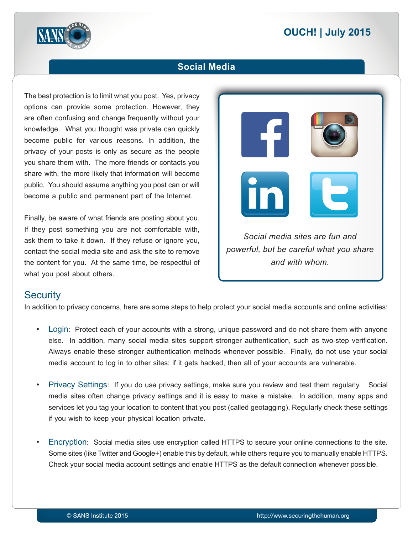# **2015 | OUCH! | July 2015**



#### **Social Media**

The best protection is to limit what you post. Yes, privacy options can provide some protection. However, they are often confusing and change frequently without your knowledge. What you thought was private can quickly become public for various reasons. In addition, the privacy of your posts is only as secure as the people you share them with. The more friends or contacts you share with, the more likely that information will become public. You should assume anything you post can or will become a public and permanent part of the Internet.

Finally, be aware of what friends are posting about you. If they post something you are not comfortable with. ask them to take it down. If they refuse or ignore you, contact the social media site and ask the site to remove the content for you. At the same time, be respectful of what you post about others.

*Social media sites are fun and powerful, but be careful what you share* and with whom

#### **Security**

In addition to privacy concerns, here are some steps to help protect your social media accounts and online activities:

- Login: Protect each of your accounts with a strong, unique password and do not share them with anyone else. In addition, many social media sites support stronger authentication, such as two-step verification. Always enable these stronger authentication methods whenever possible. Finally, do not use your social media account to log in to other sites; if it gets hacked, then all of your accounts are vulnerable.
- Privacy Settings: If you do use privacy settings, make sure you review and test them regularly. Social media sites often change privacy settings and it is easy to make a mistake. In addition, many apps and services let you tag your location to content that you post (called geotagging). Regularly check these settings if you wish to keep your physical location private.
- Encryption: Social media sites use encryption called HTTPS to secure your online connections to the site. Some sites (like Twitter and Google+) enable this by default, while others require you to manually enable HTTPS. Check your social media account settings and enable HTTPS as the default connection whenever possible.